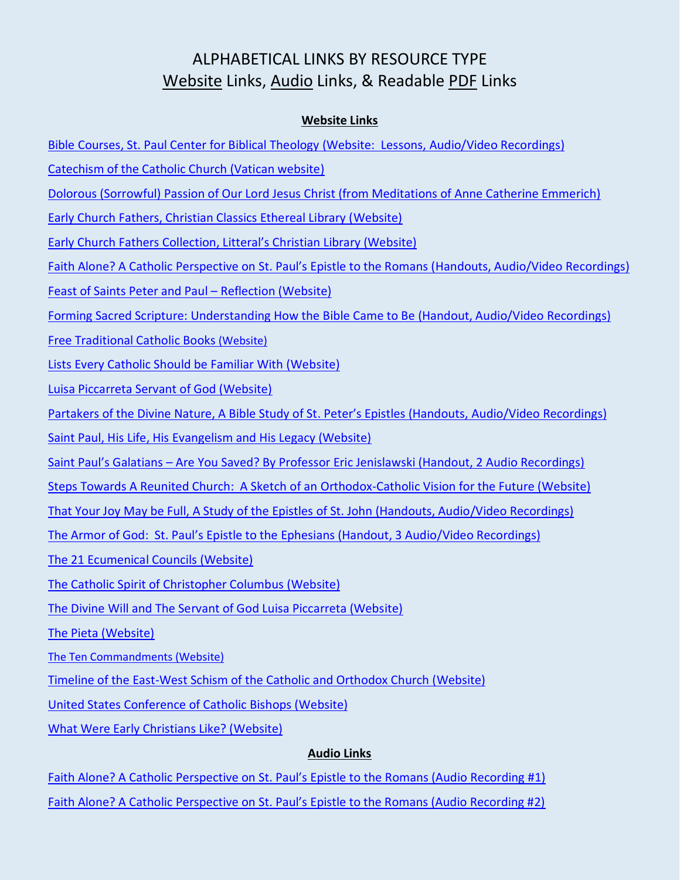## ALPHABETICAL LINKS BY RESOURCE TYPE Website Links, Audio Links, & Readable PDF Links

## **Website Links**

- [Bible Courses, St. Paul Center for Biblical Theology \(Website: Lessons, Audio/Video](https://stpaulcenter.com/studies/courses/) Recordings)
- [Catechism of the Catholic Church \(Vatican website\)](http://www.vatican.va/archive/ENG0015/_INDEX.HTM)
- [Dolorous \(Sorrowful\) Passion of Our Lord Jesus Christ \(from Meditations of Anne Catherine Emmerich\)](http://www.jesus-passion.com/DOLOROUS_PASSION_OF_OUR_LORD_JESUS_CHRIST.htm)
- [Early Church Fathers, Christian Classics Ethereal Library \(Website\)](http://www.ccel.org/fathers.html)
- Early Church Fathers Collection[, Litteral's Christian Library \(Website\)](https://sites.google.com/site/jlchristianlibrary/home/early-church-fathers-collection)
- [Faith Alone? A Catholic Perspective on St. Paul's Epistle to the Romans \(](http://www.instituteofcatholicculture.org/faith-alone-a-catholic-perspective-on-st-pauls-epistle-to-the-romans/)Handouts, Audio/Video Recordings)
- [Feast of Saints Peter and](http://www.instituteofcatholicculture.org/feast-of-saints-peter-and-paul-reflection/) Paul Reflection (Website)
- [Forming Sacred Scripture: Understanding How the Bible Came to Be \(Handout, Audio/Video Recordings\)](http://www.instituteofcatholicculture.org/forming-sacred-scripture-understanding-how-the-bible-came-to-be/)
- [Free Traditional Catholic Books](http://www.traditionalcatholic.co/free-catholicbooks/) (Website)
- [Lists Every Catholic Should be Familiar With \(Website\)](http://fisheaters.com/lists.html)
- [Luisa Piccarreta Servant of God \(Website\)](http://luisapiccarreta.me/)
- [Partakers of the Divine Nature, A Bible Study of St. Peter's Epistles \(Handouts,](http://www.instituteofcatholicculture.org/partakers-of-the-divine-nature-a-study-of-st-peters-epistles/) Audio/Video Recordings)
- [Saint Paul, His Life, His Evangelism and His Legacy \(Website\)](http://www.futuresgood.com/St_Paul.html)
- Saint Paul's Galatians [Are You Saved? By Professor Eric Jenislawski \(Handout,](http://www.instituteofcatholicculture.org/saint-pauls-galatians-are-you-saved/) 2 Audio Recordings)
- [Steps Towards A Reunited Church: A Sketch of an Orthodox-Catholic Vision for the Future \(Website\)](http://www.usccb.org/beliefs-and-teachings/ecumenical-and-interreligious/ecumenical/orthodox/steps-towards-reunited-church.cfm)
- [That Your Joy May be Full, A Study of the Epistles of St. John \(Handouts, Audio/Video Recordings\)](http://www.instituteofcatholicculture.org/that-your-joy-may-be-full-a-study-of-the-epistles-of-st-john/)
- [The Armor of God: St. Paul's Epistle to the Ephesians \(Handout, 3 Audio](http://www.instituteofcatholicculture.org/the-armor-of-god-st-pauls-epistle-to-the-ephesians/)/Video Recordings)
- [The 21 Ecumenical Councils \(Website\)](http://www.newadvent.org/library/almanac_14388a.htm)
- [The Catholic Spirit of Christopher Columbus \(Website\)](http://www.tfp.org/tfp-home/focus-on-history/the-catholic-spirit-of-christopher-columbus.html)
- [The Divine Will and The Servant of God Luisa Piccarreta \(Website\)](http://divinewill.org/)
- [The Pieta \(Website\)](http://brizek.com/prayer/pieta.htm)
- [The Ten Commandments \(Website\)](https://www.ewtn.com/expert/answers/ten_commandments.htm)
- [Timeline of the East-West Schism of the Catholic and Orthodox Church \(Website\)](http://catholicbridge.com/orthodox/timeline_history_of_catholic_orthodox_relations.php)
- [United States Conference of Catholic Bishops \(Website\)](http://www.usccb.org/)
- [What Were Early Christians Like? \(Website\)](http://www.christianity.com/church/church-history/timeline/1-300/what-were-early-christians-like-11629560.html)

## **Audio Links**

- [Faith Alone? A Catholic Perspective on St. Paul's Epistle to](https://s3.amazonaws.com/2013ICCLectures/Faith_Alone_Prof_Eric_Jenislawski_1.mp3) the Romans (Audio Recording #1)
- [Faith Alone? A Catholic Perspective on St. Paul's Epistle to the Romans \(Audio Recording #2\)](https://s3.amazonaws.com/2013ICCLectures/Faith_Alone_Prof_Eric_Jenislawski_2.mp3)